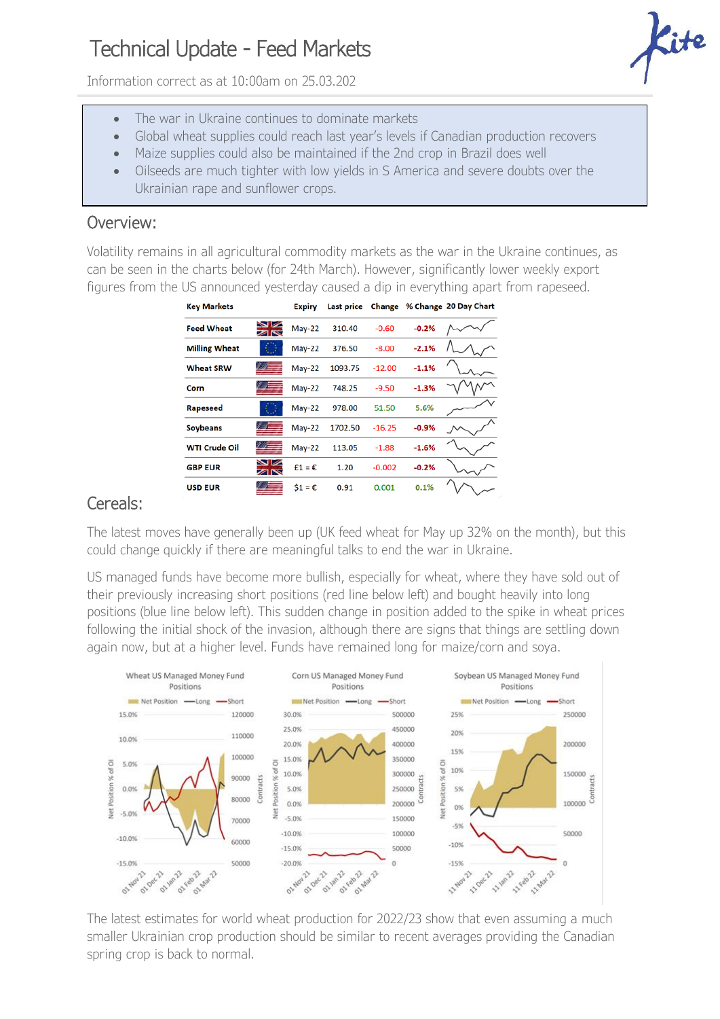## Technical Update - Feed Markets

Information correct as at 10:00am on 25.03.202



- The war in Ukraine continues to dominate markets
- Global wheat supplies could reach last year's levels if Canadian production recovers
- Maize supplies could also be maintained if the 2nd crop in Brazil does well
- Oilseeds are much tighter with low yields in S America and severe doubts over the Ukrainian rape and sunflower crops.

## Overview:

Volatility remains in all agricultural commodity markets as the war in the Ukraine continues, as can be seen in the charts below (for 24th March). However, significantly lower weekly export figures from the US announced yesterday caused a dip in everything apart from rapeseed.

| <b>Key Markets</b>   |                      | <b>Expiry</b>    | <b>Last price</b> | Change   |         | % Change 20 Day Chart |
|----------------------|----------------------|------------------|-------------------|----------|---------|-----------------------|
| <b>Feed Wheat</b>    | $\blacksquare$<br>ZK | May-22           | 310.40            | $-0.60$  | $-0.2%$ |                       |
| <b>Milling Wheat</b> |                      | $May-22$         | 376.50            | $-8.00$  | $-2.1%$ |                       |
| <b>Wheat SRW</b>     |                      | $May-22$         | 1093.75           | $-12.00$ | $-1.1%$ |                       |
| Corn                 |                      | May-22           | 748.25            | $-9.50$  | $-1.3%$ |                       |
| Rapeseed             |                      | May-22           | 978.00            | 51.50    | 5.6%    |                       |
| <b>Soybeans</b>      |                      | $May-22$         | 1702.50           | $-16.25$ | $-0.9%$ |                       |
| <b>WTI Crude Oil</b> |                      | $May-22$         | 113.05            | $-1.88$  | $-1.6%$ |                       |
| <b>GBP EUR</b>       | $\blacksquare$<br>ZK | $f1 = \epsilon$  | 1.20              | $-0.002$ | $-0.2%$ |                       |
| <b>USD EUR</b>       | Z E                  | $$1 = \epsilon$$ | 0.91              | 0.001    | 0.1%    |                       |

## Cereals:

The latest moves have generally been up (UK feed wheat for May up 32% on the month), but this could change quickly if there are meaningful talks to end the war in Ukraine.

US managed funds have become more bullish, especially for wheat, where they have sold out of their previously increasing short positions (red line below left) and bought heavily into long positions (blue line below left). This sudden change in position added to the spike in wheat prices following the initial shock of the invasion, although there are signs that things are settling down again now, but at a higher level. Funds have remained long for maize/corn and soya.



The latest estimates for world wheat production for 2022/23 show that even assuming a much smaller Ukrainian crop production should be similar to recent averages providing the Canadian spring crop is back to normal.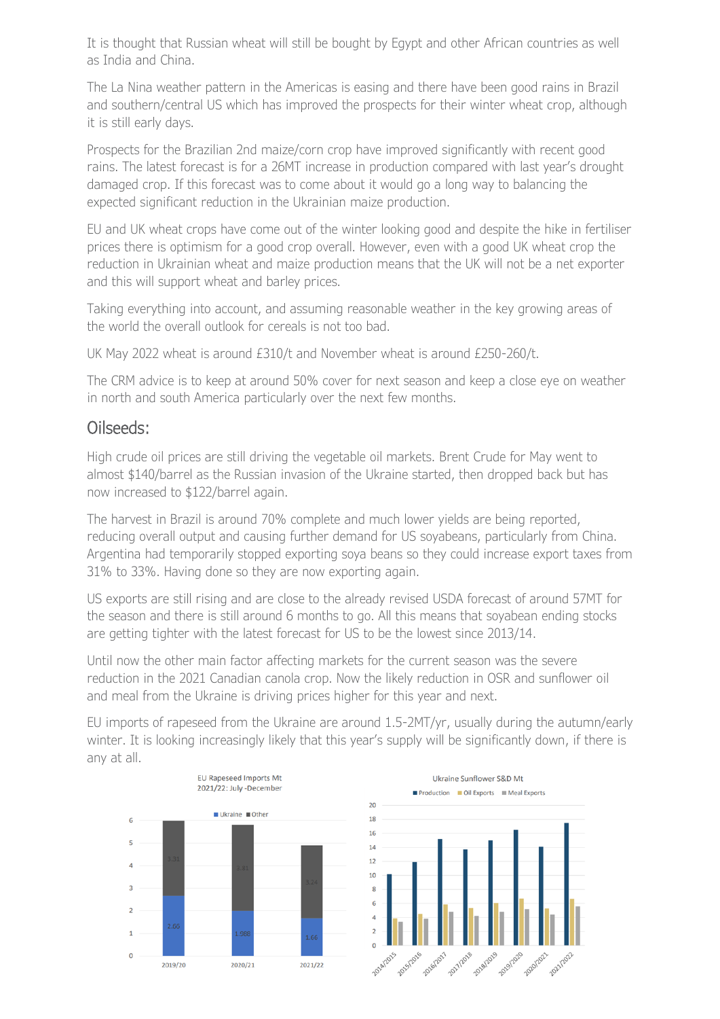It is thought that Russian wheat will still be bought by Egypt and other African countries as well as India and China.

The La Nina weather pattern in the Americas is easing and there have been good rains in Brazil and southern/central US which has improved the prospects for their winter wheat crop, although it is still early days.

Prospects for the Brazilian 2nd maize/corn crop have improved significantly with recent good rains. The latest forecast is for a 26MT increase in production compared with last year's drought damaged crop. If this forecast was to come about it would go a long way to balancing the expected significant reduction in the Ukrainian maize production.

EU and UK wheat crops have come out of the winter looking good and despite the hike in fertiliser prices there is optimism for a good crop overall. However, even with a good UK wheat crop the reduction in Ukrainian wheat and maize production means that the UK will not be a net exporter and this will support wheat and barley prices.

Taking everything into account, and assuming reasonable weather in the key growing areas of the world the overall outlook for cereals is not too bad.

UK May 2022 wheat is around £310/t and November wheat is around £250-260/t.

The CRM advice is to keep at around 50% cover for next season and keep a close eye on weather in north and south America particularly over the next few months.

## Oilseeds:

High crude oil prices are still driving the vegetable oil markets. Brent Crude for May went to almost \$140/barrel as the Russian invasion of the Ukraine started, then dropped back but has now increased to \$122/barrel again.

The harvest in Brazil is around 70% complete and much lower yields are being reported, reducing overall output and causing further demand for US soyabeans, particularly from China. Argentina had temporarily stopped exporting soya beans so they could increase export taxes from 31% to 33%. Having done so they are now exporting again.

US exports are still rising and are close to the already revised USDA forecast of around 57MT for the season and there is still around 6 months to go. All this means that soyabean ending stocks are getting tighter with the latest forecast for US to be the lowest since 2013/14.

Until now the other main factor affecting markets for the current season was the severe reduction in the 2021 Canadian canola crop. Now the likely reduction in OSR and sunflower oil and meal from the Ukraine is driving prices higher for this year and next.

EU imports of rapeseed from the Ukraine are around 1.5-2MT/yr, usually during the autumn/early winter. It is looking increasingly likely that this year's supply will be significantly down, if there is any at all.